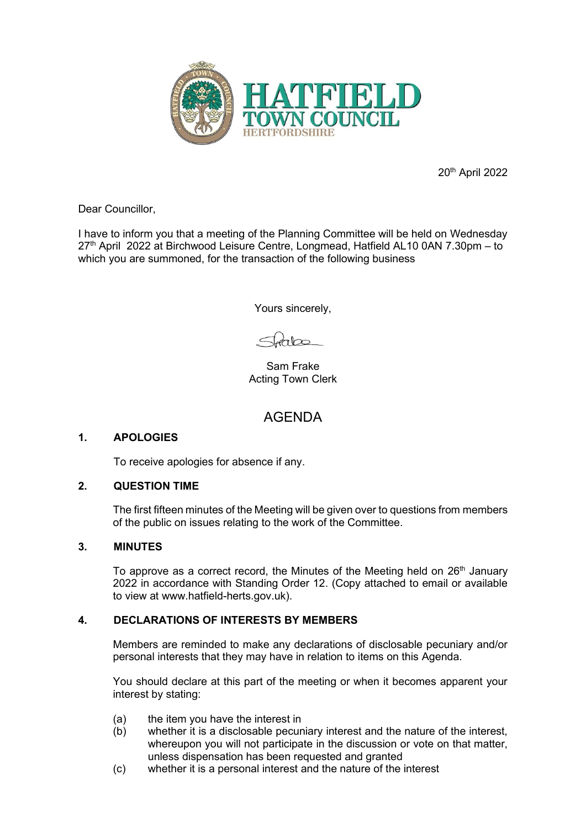

20th April 2022

Dear Councillor,

I have to inform you that a meeting of the Planning Committee will be held on Wednesday 27<sup>th</sup> April 2022 at Birchwood Leisure Centre, Longmead, Hatfield AL10 0AN 7.30pm – to which you are summoned, for the transaction of the following business

Yours sincerely,

 $\frac{1}{2}$ 

Sam Frake Acting Town Clerk

# AGENDA

#### **1. APOLOGIES**

To receive apologies for absence if any.

#### **2. QUESTION TIME**

The first fifteen minutes of the Meeting will be given over to questions from members of the public on issues relating to the work of the Committee.

#### **3. MINUTES**

To approve as a correct record, the Minutes of the Meeting held on 26<sup>th</sup> January 2022 in accordance with Standing Order 12. (Copy attached to email or available to view at www.hatfield-herts.gov.uk).

#### **4. DECLARATIONS OF INTERESTS BY MEMBERS**

Members are reminded to make any declarations of disclosable pecuniary and/or personal interests that they may have in relation to items on this Agenda.

You should declare at this part of the meeting or when it becomes apparent your interest by stating:

- (a) the item you have the interest in
- (b) whether it is a disclosable pecuniary interest and the nature of the interest, whereupon you will not participate in the discussion or vote on that matter, unless dispensation has been requested and granted
- (c) whether it is a personal interest and the nature of the interest